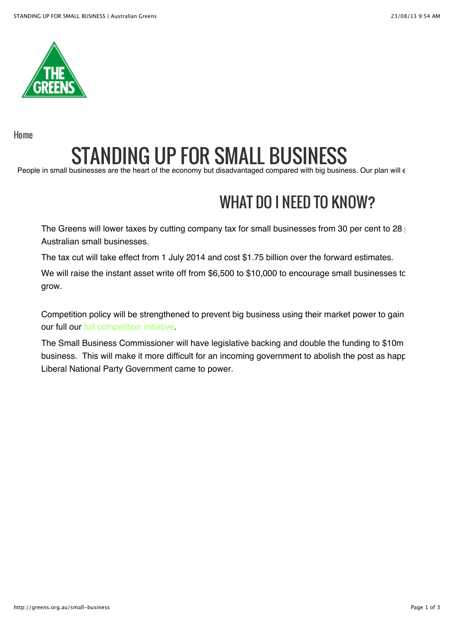

[Home](http://greens.org.au/)

## STANDING UP FOR SMALL BUSINESS

People in small businesses are the heart of the economy but disadvantaged compared with big business. Our plan will  $\epsilon$ 

## WHAT DO I NEED TO KNOW?

The Greens will lower taxes by cutting company tax for small businesses from 30 per cent to 28 Australian small businesses.

The tax cut will take effect from 1 July 2014 and cost \$1.75 billion over the forward estimates.

We will raise the instant asset write off from \$6,500 to \$10,000 to encourage small businesses to grow.

Competition policy will be strengthened to prevent big business using their market power to gain our full our [full competition initiative.](http://greens.org.au/supermarkets)

The Small Business Commissioner will have legislative backing and double the funding to \$10m business. This will make it more difficult for an incoming government to abolish the post as happened in Augustan Liberal National Party Government came to power.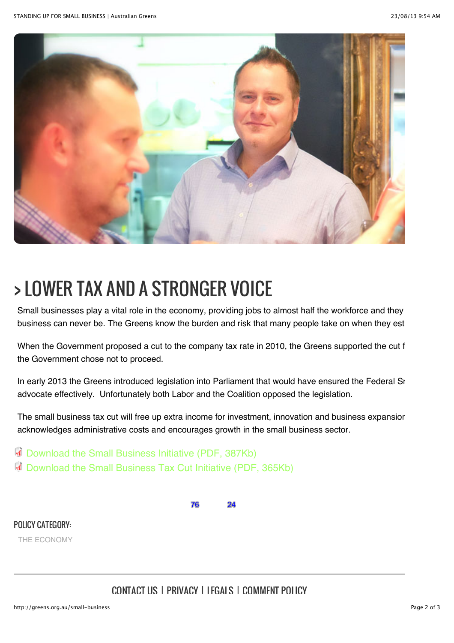

## > LOWER TAX AND A STRONGER VOICE

Small businesses play a vital role in the economy, providing jobs to almost half the workforce and they business can never be. The Greens know the burden and risk that many people take on when they est

When the Government proposed a cut to the company tax rate in 2010, the Greens supported the cut f the Government chose not to proceed.

In early 2013 the Greens introduced legislation into Parliament that would have ensured the Federal Sr advocate effectively. Unfortunately both Labor and the Coalition opposed the legislation.

The small business tax cut will free up extra income for investment, innovation and business expansior acknowledges administrative costs and encourages growth in the small business sector.

[Download the Small Business Initiative \(PDF, 387Kb\)](http://greens.org.au/sites/greens.org.au/files/Small_business_initiative.pdf) [Download the Small Business Tax Cut Initiative \(PDF, 365Kb\)](http://greens.org.au/sites/greens.org.au/files/Small_business_tax_cut_0.pdf)

76 24

POLICY CATEGORY:

[THE ECONOMY](http://greens.org.au/policy-categories/economy)